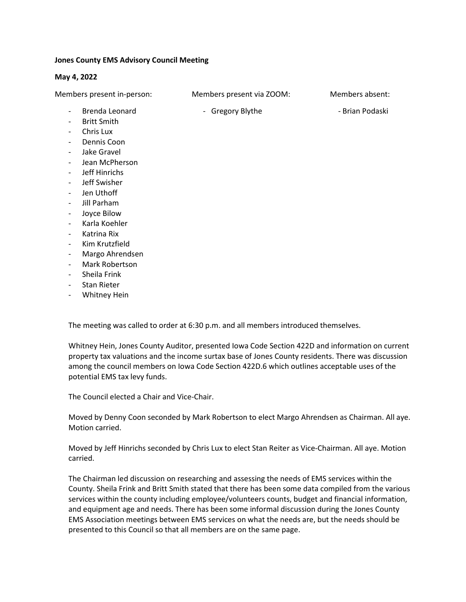## Jones County EMS Advisory Council Meeting

## May 4, 2022

Members present in-person: Members present via ZOOM: Members absent:

- Brenda Leonard  **Gregory Blythe Brian Podaski**
- Britt Smith
- Chris Lux
- Dennis Coon
- Jake Gravel
- Jean McPherson
- Jeff Hinrichs
- Jeff Swisher
- Jen Uthoff
- Jill Parham
- Joyce Bilow
- Karla Koehler
- Katrina Rix
- Kim Krutzfield
- Margo Ahrendsen
- Mark Robertson
- Sheila Frink
- Stan Rieter
- Whitney Hein

The meeting was called to order at 6:30 p.m. and all members introduced themselves.

Whitney Hein, Jones County Auditor, presented Iowa Code Section 422D and information on current property tax valuations and the income surtax base of Jones County residents. There was discussion among the council members on Iowa Code Section 422D.6 which outlines acceptable uses of the potential EMS tax levy funds.

The Council elected a Chair and Vice-Chair.

Moved by Denny Coon seconded by Mark Robertson to elect Margo Ahrendsen as Chairman. All aye. Motion carried.

Moved by Jeff Hinrichs seconded by Chris Lux to elect Stan Reiter as Vice-Chairman. All aye. Motion carried.

The Chairman led discussion on researching and assessing the needs of EMS services within the County. Sheila Frink and Britt Smith stated that there has been some data compiled from the various services within the county including employee/volunteers counts, budget and financial information, and equipment age and needs. There has been some informal discussion during the Jones County EMS Association meetings between EMS services on what the needs are, but the needs should be presented to this Council so that all members are on the same page.

- -